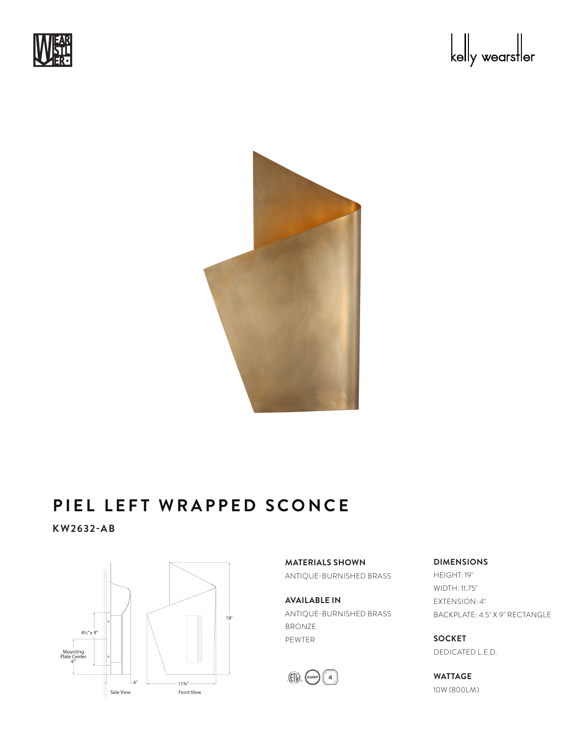





#### **PIEL LEFT WRAPPED SCONCE** NEI IE  $\blacksquare$

**KW2632-AB**



**MATERIALS SHOWN** ANTIQUE-BURNISHED BRASS

**AVAILABLE IN** ANTIQUE-BURNISHED BRASS BRONZE PEWTER



**DIMENSIONS**

HEIGHT: 19" WIDTH: 11.75" EXTENSION: 4" BACKPLATE: 4.5" X 9" RECTANGLE

**SOCKET** DEDICATED L.E.D.

**WATTAGE** 10W (800LM)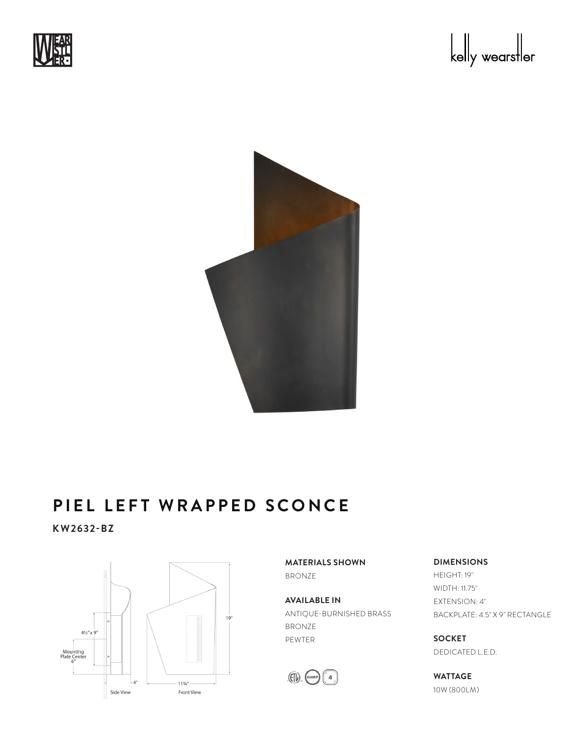





### **PIEL LEFT WRAPPED SCONCE** NEI IE  $\blacksquare$

**KW2632-BZ**



**MATERIALS SHOWN** BRONZE

**AVAILABLE IN** ANTIQUE-BURNISHED BRASS BRONZE PEWTER



**DIMENSIONS**

HEIGHT: 19" WIDTH: 11.75" EXTENSION: 4" BACKPLATE: 4.5" X 9" RECTANGLE

**SOCKET** DEDICATED L.E.D.

**WATTAGE** 10W (800LM)